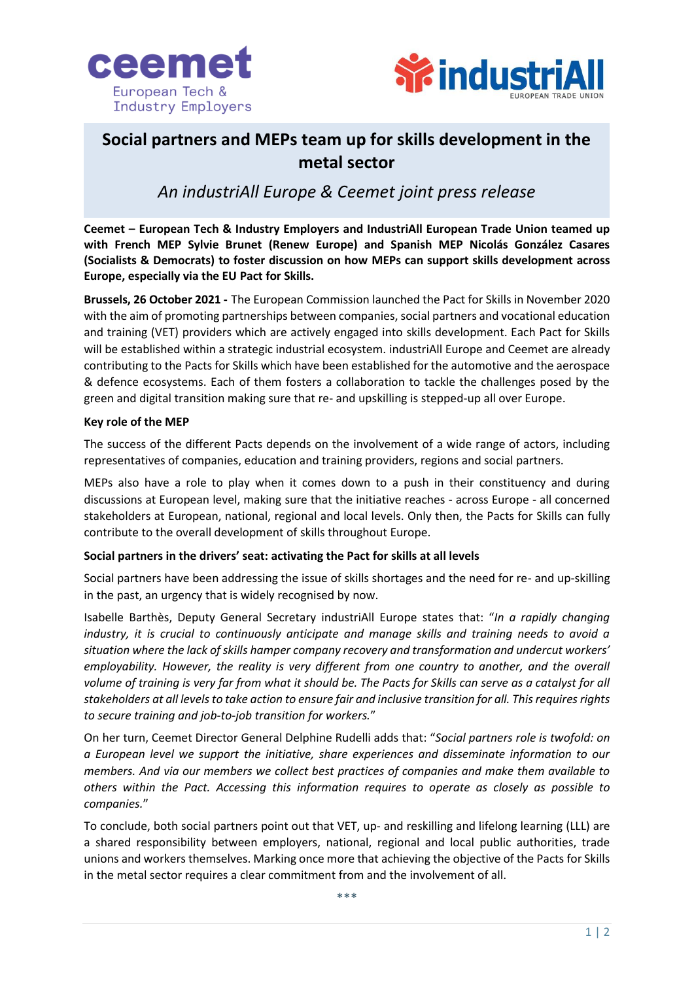



# **Social partners and MEPs team up for skills development in the metal sector**

## *An industriAll Europe & Ceemet joint press release*

**Ceemet – European Tech & Industry Employers and IndustriAll European Trade Union teamed up with French MEP Sylvie Brunet (Renew Europe) and Spanish MEP Nicolás González Casares (Socialists & Democrats) to foster discussion on how MEPs can support skills development across Europe, especially via the EU Pact for Skills.**

**Brussels, 26 October 2021 -** The European Commission launched the Pact for Skills in November 2020 with the aim of promoting partnerships between companies, social partners and vocational education and training (VET) providers which are actively engaged into skills development. Each Pact for Skills will be established within a strategic industrial ecosystem. industriAll Europe and Ceemet are already contributing to the Pacts for Skills which have been established for the automotive and the aerospace & defence ecosystems. Each of them fosters a collaboration to tackle the challenges posed by the green and digital transition making sure that re- and upskilling is stepped-up all over Europe.

#### **Key role of the MEP**

The success of the different Pacts depends on the involvement of a wide range of actors, including representatives of companies, education and training providers, regions and social partners.

MEPs also have a role to play when it comes down to a push in their constituency and during discussions at European level, making sure that the initiative reaches - across Europe - all concerned stakeholders at European, national, regional and local levels. Only then, the Pacts for Skills can fully contribute to the overall development of skills throughout Europe.

### **Social partners in the drivers' seat: activating the Pact for skills at all levels**

Social partners have been addressing the issue of skills shortages and the need for re- and up-skilling in the past, an urgency that is widely recognised by now.

Isabelle Barthès, Deputy General Secretary industriAll Europe states that: "*In a rapidly changing industry, it is crucial to continuously anticipate and manage skills and training needs to avoid a situation where the lack of skills hamper company recovery and transformation and undercut workers' employability. However, the reality is very different from one country to another, and the overall volume of training is very far from what it should be. The Pacts for Skills can serve as a catalyst for all stakeholders at all levels to take action to ensure fair and inclusive transition for all. This requires rights to secure training and job-to-job transition for workers.*"

On her turn, Ceemet Director General Delphine Rudelli adds that: "*Social partners role is twofold: on a European level we support the initiative, share experiences and disseminate information to our members. And via our members we collect best practices of companies and make them available to others within the Pact. Accessing this information requires to operate as closely as possible to companies.*"

To conclude, both social partners point out that VET, up- and reskilling and lifelong learning (LLL) are a shared responsibility between employers, national, regional and local public authorities, trade unions and workers themselves. Marking once more that achieving the objective of the Pacts for Skills in the metal sector requires a clear commitment from and the involvement of all.